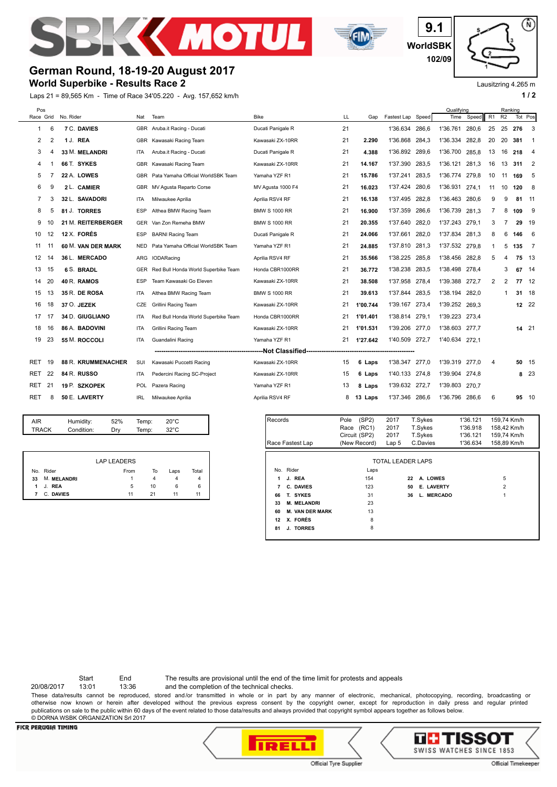



**WorldSBK 9.1 102/09**

Lausitzring 4.265 m

⋒

## **German Round, 18-19-20 August 2017**

### **World Superbike - Results Race 2**

Laps 21 = 89,565 Km - Time of Race 34'05.220 - Avg. 157,652 km/h **1 / 2**



|    |                    | LAP LEADERS |    |      |       |
|----|--------------------|-------------|----|------|-------|
|    | No. Rider          | From        | To | Laps | Total |
| 33 | <b>M. MELANDRI</b> | 1           | 4  | 4    | 4     |
|    | 1 J. REA           | 5           | 10 | 6    | 6     |
| 7  | C. DAVIES          | 11          | 21 | 11   | 11    |

|                  |                    |                        | Circuit (SP2)    | 2017              | T.Sykes |  |            | 1'36.121    | 159,74 Km/h    |
|------------------|--------------------|------------------------|------------------|-------------------|---------|--|------------|-------------|----------------|
| Race Fastest Lap |                    | (New Record)           | Lap <sub>5</sub> | C.Davies          |         |  | 1'36.634   | 158.89 Km/h |                |
|                  |                    |                        |                  |                   |         |  |            |             |                |
|                  |                    |                        |                  | TOTAL LEADER LAPS |         |  |            |             |                |
|                  | No. Rider          |                        | Laps             |                   |         |  |            |             |                |
| 1                | J. REA             |                        | 154              |                   | 22      |  | A. LOWES   |             | 5              |
| 7                | C. DAVIES          |                        | 123              |                   | 50      |  | E. LAVERTY |             | $\overline{2}$ |
| 66               | T. SYKES           |                        | 31               |                   | 36      |  | L. MERCADO |             |                |
| 33               | <b>M. MELANDRI</b> |                        | 23               |                   |         |  |            |             |                |
| 60               |                    | <b>M. VAN DER MARK</b> | 13               |                   |         |  |            |             |                |
| 12               | X. FORÉS           |                        | 8                |                   |         |  |            |             |                |
| 81               | J. TORRES          |                        | 8                |                   |         |  |            |             |                |
|                  |                    |                        |                  |                   |         |  |            |             |                |

Start End The results are provisional until the end of the time limit for protests and appeals

20/08/2017 13:01 13:36 and the completion of the technical checks.

These data/results cannot be reproduced, stored and/or transmitted in whole or in part by any manner of electronic, mechanical, photocopying, recording, broadcasting or otherwise now known or herein after developed without the previous express consent by the copyright owner, except for reproduction in daily press and regular printed publications on sale to the public within 60 days of the event related to those data/results and always provided that copyright symbol appears together as follows below. © DORNA WSBK ORGANIZATION Srl 2017

#### **FICR PERUGIA TIMING**